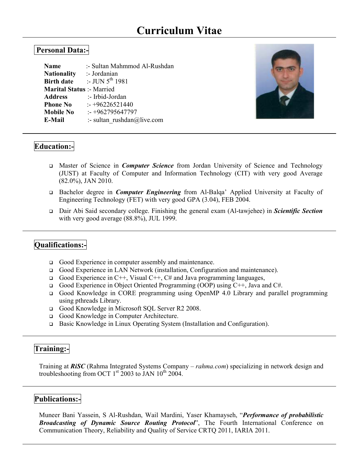# **Curriculum Vitae**

### **Personal Data:-**

| :- Sultan Mahmmod Al-Rushdan     |
|----------------------------------|
| :- Jordanian                     |
| :- JUN $5^{th}$ 1981             |
| <b>Marital Status :- Married</b> |
| :- Irbid-Jordan                  |
| $-+96226521440$                  |
| $: +962795647797$                |
| :- sultan rushdan@live.com       |
|                                  |



## **Education:-**

- Master of Science in *Computer Science* from Jordan University of Science and Technology (JUST) at Faculty of Computer and Information Technology (CIT) with very good Average (82.0%), JAN 2010.
- Bachelor degree in *Computer Engineering* from Al-Balqa' Applied University at Faculty of Engineering Technology (FET) with very good GPA (3.04), FEB 2004.
- Dair Abi Said secondary college. Finishing the general exam (Al-tawjehee) in *Scientific Section* with very good average (88.8%), JUL 1999.

# **Qualifications:-**

- Good Experience in computer assembly and maintenance.
- Good Experience in LAN Network (installation, Configuration and maintenance).
- Good Experience in C++, Visual C++, C# and Java programming languages,
- Good Experience in Object Oriented Programming (OOP) using  $C_{++}$ , Java and  $C_{++}$ .
- Good Knowledge in CORE programming using OpenMP 4.0 Library and parallel programming using pthreads Library.
- Good Knowledge in Microsoft SQL Server R2 2008.
- Good Knowledge in Computer Architecture.
- Basic Knowledge in Linux Operating System (Installation and Configuration).

### **Training:-**

Training at *RiSC* (Rahma Integrated Systems Company – *rahma.com*) specializing in network design and troubleshooting from OCT  $1<sup>st</sup>$  2003 to JAN  $10<sup>th</sup>$  2004.

### **Publications:-**

Muneer Bani Yassein, S Al-Rushdan, Wail Mardini, Yaser Khamayseh, "*Performance of probabilistic Broadcasting of Dynamic Source Routing Protocol*", The Fourth International Conference on Communication Theory, Reliability and Quality of Service CRTQ 2011, IARIA 2011.